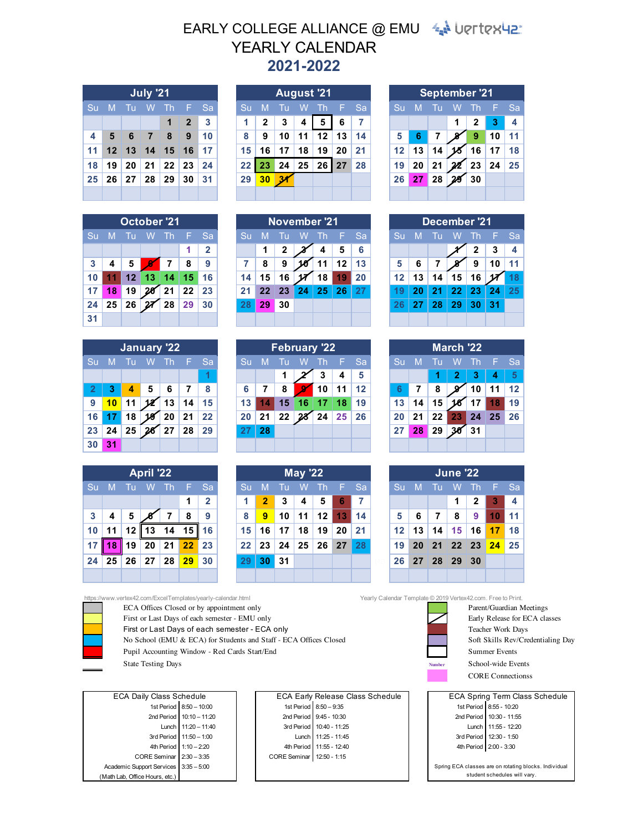## EARLY COLLEGE ALLIANCE @ EMU  $4\pi$  UPTTERUS. **2021-2022** YEARLY CALENDAR

| <b>July '21</b> |                |  |                                              |                     |                |                   |  |  |  |  |  |  |
|-----------------|----------------|--|----------------------------------------------|---------------------|----------------|-------------------|--|--|--|--|--|--|
|                 | Su M Tu W Th F |  | <sup>'</sup> Sa                              |                     |                |                   |  |  |  |  |  |  |
|                 |                |  |                                              | $\ddot{\textbf{1}}$ | $\overline{2}$ | 3                 |  |  |  |  |  |  |
| 4               |                |  | 5 6 7 8                                      |                     | 9              | $\blacksquare$ 10 |  |  |  |  |  |  |
| 11              |                |  | 12 13 14 15 16 17                            |                     |                |                   |  |  |  |  |  |  |
| 18 <sup>1</sup> |                |  | $19 \mid 20 \mid 21 \mid 22 \mid 23 \mid 24$ |                     |                |                   |  |  |  |  |  |  |
|                 |                |  | 25 26 27 28 29 30 31                         |                     |                |                   |  |  |  |  |  |  |
|                 |                |  |                                              |                     |                |                   |  |  |  |  |  |  |

|    | October <sup>721</sup>      |    |                   |                      |               |    |  |  |  |  |  |  |  |
|----|-----------------------------|----|-------------------|----------------------|---------------|----|--|--|--|--|--|--|--|
| Su | Tu<br>W Th<br>M<br>-F<br>Sa |    |                   |                      |               |    |  |  |  |  |  |  |  |
|    |                             |    | 1                 | $\overline{2}$       |               |    |  |  |  |  |  |  |  |
| 3  | 4                           | 5  | 8                 | 9                    |               |    |  |  |  |  |  |  |  |
| 10 | 11 <sub>1</sub>             | 12 |                   | $13 \mid 14 \mid 15$ |               | 16 |  |  |  |  |  |  |  |
| 17 | 18                          | 19 |                   |                      | $20$ 21 22 23 |    |  |  |  |  |  |  |  |
| 24 | 25                          | 26 | $\sqrt{27}$ 28 29 |                      |               | 30 |  |  |  |  |  |  |  |
| 31 |                             |    |                   |                      |               |    |  |  |  |  |  |  |  |

|                | <b>January '22</b>                    |    |                    |               |         |    |  |  |  |  |  |  |  |
|----------------|---------------------------------------|----|--------------------|---------------|---------|----|--|--|--|--|--|--|--|
| Su             | M<br>Tu<br>W<br><b>Th</b><br>-F<br>Sa |    |                    |               |         |    |  |  |  |  |  |  |  |
|                |                                       |    |                    |               |         | 1  |  |  |  |  |  |  |  |
| $\overline{2}$ | 3                                     | 4  | $\mathbf{\bar{5}}$ | - 6           | - 7     | 8  |  |  |  |  |  |  |  |
| 9              | 10                                    | 11 |                    | $\sqrt{2}$ 13 | 14      | 15 |  |  |  |  |  |  |  |
| 16             | 17 <sub>2</sub>                       | 18 |                    | $18$ 20       | $21$ 22 |    |  |  |  |  |  |  |  |
| 23             | 24                                    | 25 |                    | $26$ 27 28    |         | 29 |  |  |  |  |  |  |  |
| 30             | 31                                    |    |                    |               |         |    |  |  |  |  |  |  |  |

| <b>April '22</b> |                |                   |               |                |     |                |  |  |  |  |  |  |
|------------------|----------------|-------------------|---------------|----------------|-----|----------------|--|--|--|--|--|--|
| Su               |                | $\overline{M}$ Tu | W Th          |                | - F | Sa             |  |  |  |  |  |  |
|                  |                |                   |               |                | 1   | $\overline{2}$ |  |  |  |  |  |  |
| 3                | 4              | 5                 |               | $\overline{7}$ | 8   | 9              |  |  |  |  |  |  |
| 10 <sup>1</sup>  | 11             | 12                |               | 13 14 15       |     | 16             |  |  |  |  |  |  |
| 17               | 18             |                   | $19$ 20 21 22 |                |     | 23             |  |  |  |  |  |  |
| 24               | 25 26 27 28 29 |                   |               |                |     | 30             |  |  |  |  |  |  |
|                  |                |                   |               |                |     |                |  |  |  |  |  |  |

|                |                  |     | <b>July '21</b> |                         |                            |              |         |                 |    |    | <b>August '21</b> |    |      | <b>September '21</b> |    |      |    |   |      |      |
|----------------|------------------|-----|-----------------|-------------------------|----------------------------|--------------|---------|-----------------|----|----|-------------------|----|------|----------------------|----|------|----|---|------|------|
| Su             | M                | 4 U | W               | <b>Th</b>               | Æ                          | <b>Sa</b>    | Su      | M               |    | W  | Th                |    | F Sa | Su                   | M  | A IV |    | W | -Thi | F Sa |
|                |                  |     |                 |                         | $\boldsymbol{\mathcal{P}}$ | $\mathbf{3}$ |         | 2               | 3  | 4  | 5                 | 6  |      |                      |    |      |    |   | 2    | з    |
| $\overline{4}$ | 5                | 6   | $\mathbf{7}$    | 8                       | 9                          | 10           | 8       | 9               | 10 | 11 | 12                | 13 | 14   | 5                    |    |      |    |   | 9    | 10   |
| 11             | 12 <sup>12</sup> | 13  |                 | $\vert$ 14   15 $\vert$ | 16                         | l 17         | 15      | 16              | 17 | 18 | 19                | 20 | 21   | $12 \overline{ }$    | 13 | 14   |    |   | 16   | 17   |
| 18             | 19               | 20  | 21              | 22                      | 23                         | 24           | $22 \,$ | 23              | 24 | 25 | 26                | 27 | 28   | 19                   | 20 | 21   | 22 |   | 23   | 24   |
| 25             | 26               | 27  | 28              | 29                      | 30                         | 31           | 29      | 30 <sub>1</sub> | 34 |    |                   |    |      | 26                   | 27 | 28   | 28 |   | 30   |      |
|                |                  |     |                 |                         |                            |              |         |                 |    |    |                   |    |      |                      |    |      |    |   |      |      |

|    |    | <b>October '21</b> |    |      |    |           | November '21 |                 |    |    |     |         |      |         |    |    | December '21 |     |        |
|----|----|--------------------|----|------|----|-----------|--------------|-----------------|----|----|-----|---------|------|---------|----|----|--------------|-----|--------|
| Su | M  |                    | W  | -Th. |    | <b>Sa</b> |              | M               |    | w  | -Th | - F -   | - Sa | Su      |    |    | W            | -Th | - F Sa |
|    |    |                    |    |      |    | 2         |              |                 | 2  |    | 4   | 5       | 6    |         |    |    |              | 2   |        |
| 3  |    |                    |    |      | 8  | 9         |              | 8               | 9  |    | 11  | $12 \,$ | 13   | 5       |    |    |              | 9   |        |
| 10 |    | 12 <sup>1</sup>    | 13 | 14   | 15 | 16        | 14           | 15              | 16 |    | 18  | 19      | 20   | $12 \,$ | 13 | 14 | 15           | 16  |        |
| 17 | 18 | 19                 | 20 | 21   | 22 | 23        | 21           | 22 <sub>2</sub> | 23 | 24 | 25  | 26      |      | 19      |    | 21 | 22           | 23  | 24     |
| 24 | 25 | 26                 | 27 | 28   | 29 | 30        |              | 29              | 30 |    |     |         |      | 26      |    | 28 | 29           | 30  | 31     |
| 31 |    |                    |    |      |    |           |              |                 |    |    |     |         |      |         |    |    |              |     |        |

|    |    |    | January '22 |     |    |           |    |    |    | <b>February '22</b> |     |    |            |    |    |    | March '22 |       |    |
|----|----|----|-------------|-----|----|-----------|----|----|----|---------------------|-----|----|------------|----|----|----|-----------|-------|----|
| Su | M  |    | W           | .Th |    | <b>Sa</b> |    | M  |    | w                   | -Th |    | <b>Sal</b> | Su | M  |    | W         | -Th   |    |
|    |    |    |             |     |    |           |    |    |    |                     |     | 4  | 5          |    |    |    |           | 3     |    |
|    | 3  | 4  | 5           | 6   |    | 8         | 6  |    | 8  |                     | 10  | 11 | 12         |    |    | 8  |           | 10    | 11 |
| 9  | 10 |    |             | 13  | 14 | 15        | 13 |    | 15 | 16\                 | 17  | 18 | 19         | 13 | 14 | 15 |           |       |    |
| 16 |    | 18 | 19          | 20  | 21 | 22        | 20 | 21 | 22 |                     | 24  | 25 | 26         | 20 | 21 | 22 | 23        | 24 25 |    |
| 23 | 24 | 25 | 26          | 27  | 28 | 29        |    | 28 |    |                     |     |    |            | 27 | 28 | 29 | 30        | 31    |    |
| 30 |    |    |             |     |    |           |    |    |    |                     |     |    |            |    |    |    |           |       |    |

|                 | <b>April '22</b> |    |           |                 |                 | <b>May '22</b> |                 |    |    |    |     |    | <b>June '22</b> |                 |    |            |                      |     |    |
|-----------------|------------------|----|-----------|-----------------|-----------------|----------------|-----------------|----|----|----|-----|----|-----------------|-----------------|----|------------|----------------------|-----|----|
| Su              | M                | Τп | W         | -Th             | ı-              | <b>Sa</b>      | Su              | M  | Tп | W  | -Th |    | F Sa            | Su              | M  | <b>ATT</b> | W                    | -Th | Ð  |
|                 |                  |    |           |                 | 1               | $\overline{2}$ |                 | 2  | 3  | 4  | 5   | 6  |                 |                 |    |            |                      | 2   | 3  |
| $\mathbf{3}$    |                  | 5  |           |                 | 8               | 9              | 8               | 9  | 10 | 11 | 12  | 13 | 14              | 5               | 6  | 7          | 8                    | 9   |    |
| 10 <sup>1</sup> | 11               |    | $12$   13 |                 | 14 15 16        |                | 15 <sub>1</sub> | 16 | 17 | 18 | 19  | 20 | -21             | 12 <sup>2</sup> | 13 | 14         | 15 <sub>1</sub>      | 16  | 17 |
| 17 I            | 18               | 19 | 20        | 21 <sup>1</sup> | 22 <sup>1</sup> | 23             | 22 <sub>2</sub> | 23 | 24 | 25 | 26  | 27 | 28              | 19              | 20 | 21         | $22 \mid 23 \mid 24$ |     |    |
| 24              | 25               | 26 | 27        | 28              | 29              | 30             | 29              | 30 | 31 |    |     |    |                 | 26              |    |            | 27 28 29 30          |     |    |
|                 |                  |    |           |                 |                 |                |                 |    |    |    |     |    |                 |                 |    |            |                      |     |    |

| <b>September '21</b> |       |                                 |   |               |                 |    |  |  |  |  |  |  |
|----------------------|-------|---------------------------------|---|---------------|-----------------|----|--|--|--|--|--|--|
| Su                   | M     | Tu<br>W<br><b>Th</b><br>Sa<br>F |   |               |                 |    |  |  |  |  |  |  |
|                      |       |                                 | 1 | $\mathbf{2}$  | 3               | 4  |  |  |  |  |  |  |
| 5                    | 6     | 7                               |   | $\bullet$     | 10              | 11 |  |  |  |  |  |  |
| 12 <sup>2</sup>      | 13    | 14                              |   | 16            | 17 <sup>1</sup> | 18 |  |  |  |  |  |  |
| 19                   | 20    | 21                              |   | $\sqrt{2}$ 23 | 24              | 25 |  |  |  |  |  |  |
| 26                   | 27 28 |                                 |   | 30            |                 |    |  |  |  |  |  |  |
|                      |       |                                 |   |               |                 |    |  |  |  |  |  |  |

| December '21 |    |    |                 |              |    |    |  |  |  |  |  |  |
|--------------|----|----|-----------------|--------------|----|----|--|--|--|--|--|--|
| Su           | M  | Tu | W.              | - Th         | F  | Sa |  |  |  |  |  |  |
|              |    |    |                 | $\mathbf{2}$ | 3  | 4  |  |  |  |  |  |  |
| 5            | 6  | 7  |                 | 9            | 10 | 11 |  |  |  |  |  |  |
| 12           | 13 | 14 | 15 <sub>1</sub> | 16           |    | 18 |  |  |  |  |  |  |
| 19           | 20 | 21 | 22 <sub>2</sub> | $\vert$ 23   | 24 | 25 |  |  |  |  |  |  |
| 26           | 27 | 28 | 29              | 30           | 31 |    |  |  |  |  |  |  |
|              |    |    |                 |              |    |    |  |  |  |  |  |  |

|    | <b>March '22</b> |    |                 |             |     |    |  |  |  |  |  |  |  |  |
|----|------------------|----|-----------------|-------------|-----|----|--|--|--|--|--|--|--|--|
| Su | M                | Tu | W               | $-Th$       | - F | Sa |  |  |  |  |  |  |  |  |
|    |                  | 1. | $\vert 2 \vert$ | $\Box$ 3    | 4   | 5  |  |  |  |  |  |  |  |  |
| 6  | 7                | 8  |                 | ชั่ 10      | 11  | 12 |  |  |  |  |  |  |  |  |
| 13 | 14               | 15 |                 | $\sqrt{17}$ | 18  | 19 |  |  |  |  |  |  |  |  |
| 20 | 21               | 22 |                 | 23 24 25    |     | 26 |  |  |  |  |  |  |  |  |
| 27 | 28               | 29 |                 | $\sqrt{31}$ |     |    |  |  |  |  |  |  |  |  |
|    |                  |    |                 |             |     |    |  |  |  |  |  |  |  |  |

|    | <b>June '22</b> |                                               |    |                   |                         |      |  |  |  |  |  |  |  |
|----|-----------------|-----------------------------------------------|----|-------------------|-------------------------|------|--|--|--|--|--|--|--|
| Su |                 | M Tu W Th F                                   |    |                   |                         | 'Sa  |  |  |  |  |  |  |  |
|    |                 |                                               | 1. | $\vert$ 2         | $\overline{\mathbf{3}}$ | 4    |  |  |  |  |  |  |  |
| 5  | 6               | $\overline{7}$                                | 89 |                   | 10 <sup>1</sup>         | l 11 |  |  |  |  |  |  |  |
|    |                 | 12   13   14   15   16 <mark>  17  </mark> 18 |    |                   |                         |      |  |  |  |  |  |  |  |
| 19 |                 | 20 21 22 23 24 25                             |    |                   |                         |      |  |  |  |  |  |  |  |
|    |                 | 26 27 28 29                                   |    | $\blacksquare$ 30 |                         |      |  |  |  |  |  |  |  |
|    |                 |                                               |    |                   |                         |      |  |  |  |  |  |  |  |

ECA Offices Closed or by appointment only **Parent/Guardian Meetings** Parent/Guardian Meetings

- First or Last Days of each semester EMU only Early Release for ECA classes
- 



First or Last Days of each semester - ECA only Teacher Work Days Teacher Work Days No School (EMU & ECA) for Students and Staff - ECA Offices Closed Soft Skills Rev/Credentialing Day Pupil Accounting Window - Red Cards Start/End Summer Events State Testing Days **Number** School-wide Events

Academic Support Services 3:35 - 5:00 CORE Seminar  $2:30 - 3:35$ 4th Period 1:10 - 2:20 (Math Lab, Office Hours, etc.) ECA Daily Class Schedule 1st Period 8:50 - 10:00 2nd Period 10:10 - 11:20 Lunch 3rd Period

8:50 – 10:00 ( | | 1st Period | 8:50 – 9:35 ( | 1st Period | 8:50 – 9:35 ) 10:10 – 11:20 **12:55** and Period 1 9:45 - 10:30 **12:55** 10:30 10:10 – 11:20 10:30 - 11:55 11:20 – 11:40 10:40 - 11:25 11:55 - 12:20 3rd Period 11:50 – 1:00 | | Lunch | 11:25 - 11:45 | | 3rd Period | 12:30 - 1:50 1:10 – 2:20 **11:55 - 12:40** 11:55 - 12:40 2:30 - 3:35 | CORE Seminar | 12:50 - 1:15 1st Period 8:50 - 9:35 2nd Period 9:45 - 10:30 Lunch 11:25 - 11:45

https://www.vertex42.com/ExcelTemplates/yearly-calendar.html Yearly Calendar Template © 2019 Vertex42.com. Free to Print.



CORE Connectionss